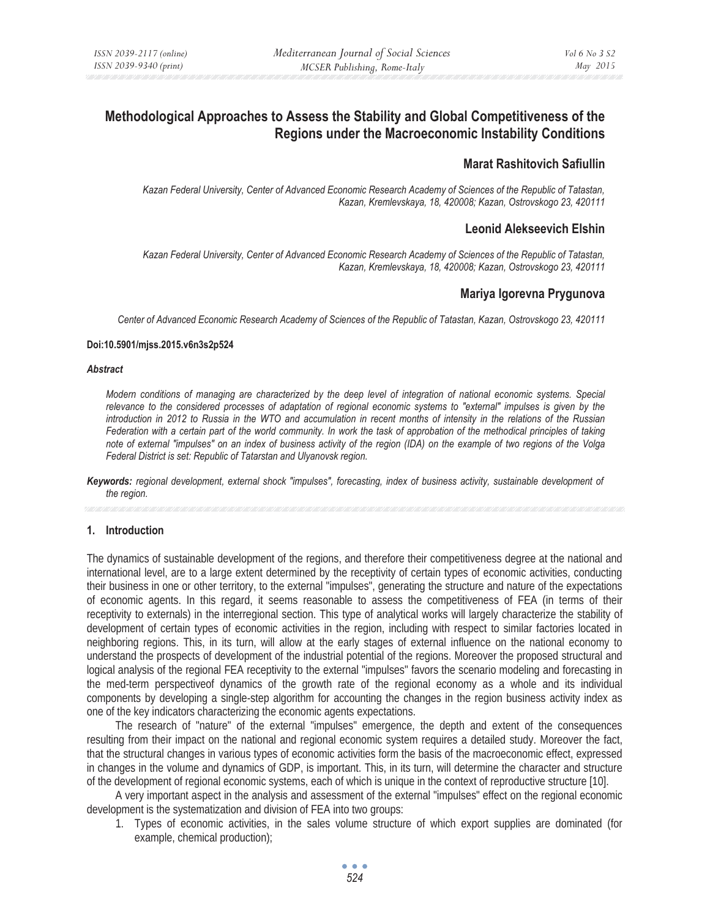# **Methodological Approaches to Assess the Stability and Global Competitiveness of the Regions under the Macroeconomic Instability Conditions**

## **Marat Rashitovich Safiullin**

*Kazan Federal University, Center of Advanced Economic Research Academy of Sciences of the Republic of Tatastan, Kazan, Kremlevskaya, 18, 420008; Kazan, Ostrovskogo 23, 420111* 

### **Leonid Alekseevich Elshin**

*Kazan Federal University, Center of Advanced Economic Research Academy of Sciences of the Republic of Tatastan, Kazan, Kremlevskaya, 18, 420008; Kazan, Ostrovskogo 23, 420111* 

### **Mariya Igorevna Prygunova**

*Center of Advanced Economic Research Academy of Sciences of the Republic of Tatastan, Kazan, Ostrovskogo 23, 420111* 

#### **Doi:10.5901/mjss.2015.v6n3s2p524**

#### *Abstract*

*Modern conditions of managing are characterized by the deep level of integration of national economic systems. Special relevance to the considered processes of adaptation of regional economic systems to "external" impulses is given by the introduction in 2012 to Russia in the WTO and accumulation in recent months of intensity in the relations of the Russian Federation with a certain part of the world community. In work the task of approbation of the methodical principles of taking note of external "impulses" on an index of business activity of the region (IDA) on the example of two regions of the Volga Federal District is set: Republic of Tatarstan and Ulyanovsk region.* 

*Keywords: regional development, external shock "impulses", forecasting, index of business activity, sustainable development of the region.* 

### **1. Introduction**

The dynamics of sustainable development of the regions, and therefore their competitiveness degree at the national and international level, are to a large extent determined by the receptivity of certain types of economic activities, conducting their business in one or other territory, to the external "impulses", generating the structure and nature of the expectations of economic agents. In this regard, it seems reasonable to assess the competitiveness of FEA (in terms of their receptivity to externals) in the interregional section. This type of analytical works will largely characterize the stability of development of certain types of economic activities in the region, including with respect to similar factories located in neighboring regions. This, in its turn, will allow at the early stages of external influence on the national economy to understand the prospects of development of the industrial potential of the regions. Moreover the proposed structural and logical analysis of the regional FEA receptivity to the external "impulses" favors the scenario modeling and forecasting in the med-term perspectiveof dynamics of the growth rate of the regional economy as a whole and its individual components by developing a single-step algorithm for accounting the changes in the region business activity index as one of the key indicators characterizing the economic agents expectations.

The research of "nature" of the external "impulses" emergence, the depth and extent of the consequences resulting from their impact on the national and regional economic system requires a detailed study. Moreover the fact, that the structural changes in various types of economic activities form the basis of the macroeconomic effect, expressed in changes in the volume and dynamics of GDP, is important. This, in its turn, will determine the character and structure of the development of regional economic systems, each of which is unique in the context of reproductive structure [10].

A very important aspect in the analysis and assessment of the external "impulses" effect on the regional economic development is the systematization and division of FEA into two groups:

1. Types of economic activities, in the sales volume structure of which export supplies are dominated (for example, chemical production);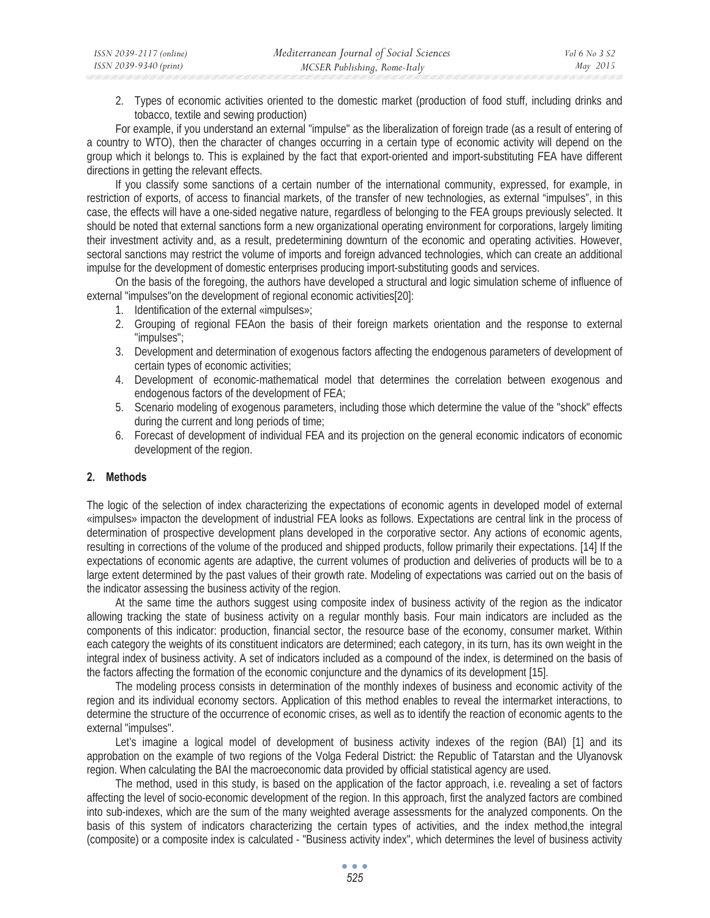2. Types of economic activities oriented to the domestic market (production of food stuff, including drinks and tobacco, textile and sewing production)

For example, if you understand an external "impulse" as the liberalization of foreign trade (as a result of entering of a country to WTO), then the character of changes occurring in a certain type of economic activity will depend on the group which it belongs to. This is explained by the fact that export-oriented and import-substituting FEA have different directions in getting the relevant effects.

If you classify some sanctions of a certain number of the international community, expressed, for example, in restriction of exports, of access to financial markets, of the transfer of new technologies, as external "impulses", in this case, the effects will have a one-sided negative nature, regardless of belonging to the FEA groups previously selected. It should be noted that external sanctions form a new organizational operating environment for corporations, largely limiting their investment activity and, as a result, predetermining downturn of the economic and operating activities. However, sectoral sanctions may restrict the volume of imports and foreign advanced technologies, which can create an additional impulse for the development of domestic enterprises producing import-substituting goods and services.

On the basis of the foregoing, the authors have developed a structural and logic simulation scheme of influence of external "impulses"on the development of regional economic activities[20]:

- 1. Identification of the external «impulses»;
- 2. Grouping of regional FEAon the basis of their foreign markets orientation and the response to external "impulses";
- 3. Development and determination of exogenous factors affecting the endogenous parameters of development of certain types of economic activities;
- 4. Development of economic-mathematical model that determines the correlation between exogenous and endogenous factors of the development of FEA;
- 5. Scenario modeling of exogenous parameters, including those which determine the value of the "shock" effects during the current and long periods of time;
- 6. Forecast of development of individual FEA and its projection on the general economic indicators of economic development of the region.

## **2. Methods**

The logic of the selection of index characterizing the expectations of economic agents in developed model of external «impulses» impacton the development of industrial FEA looks as follows. Expectations are central link in the process of determination of prospective development plans developed in the corporative sector. Any actions of economic agents, resulting in corrections of the volume of the produced and shipped products, follow primarily their expectations. [14] If the expectations of economic agents are adaptive, the current volumes of production and deliveries of products will be to a large extent determined by the past values of their growth rate. Modeling of expectations was carried out on the basis of the indicator assessing the business activity of the region.

At the same time the authors suggest using composite index of business activity of the region as the indicator allowing tracking the state of business activity on a regular monthly basis. Four main indicators are included as the components of this indicator: production, financial sector, the resource base of the economy, consumer market. Within each category the weights of its constituent indicators are determined; each category, in its turn, has its own weight in the integral index of business activity. A set of indicators included as a compound of the index, is determined on the basis of the factors affecting the formation of the economic conjuncture and the dynamics of its development [15].

The modeling process consists in determination of the monthly indexes of business and economic activity of the region and its individual economy sectors. Application of this method enables to reveal the intermarket interactions, to determine the structure of the occurrence of economic crises, as well as to identify the reaction of economic agents to the external "impulses".

Let's imagine a logical model of development of business activity indexes of the region (BAI) [1] and its approbation on the example of two regions of the Volga Federal District: the Republic of Tatarstan and the Ulyanovsk region. When calculating the BAI the macroeconomic data provided by official statistical agency are used.

The method, used in this study, is based on the application of the factor approach, i.e. revealing a set of factors affecting the level of socio-economic development of the region. In this approach, first the analyzed factors are combined into sub-indexes, which are the sum of the many weighted average assessments for the analyzed components. On the basis of this system of indicators characterizing the certain types of activities, and the index method,the integral (composite) or a composite index is calculated - "Business activity index", which determines the level of business activity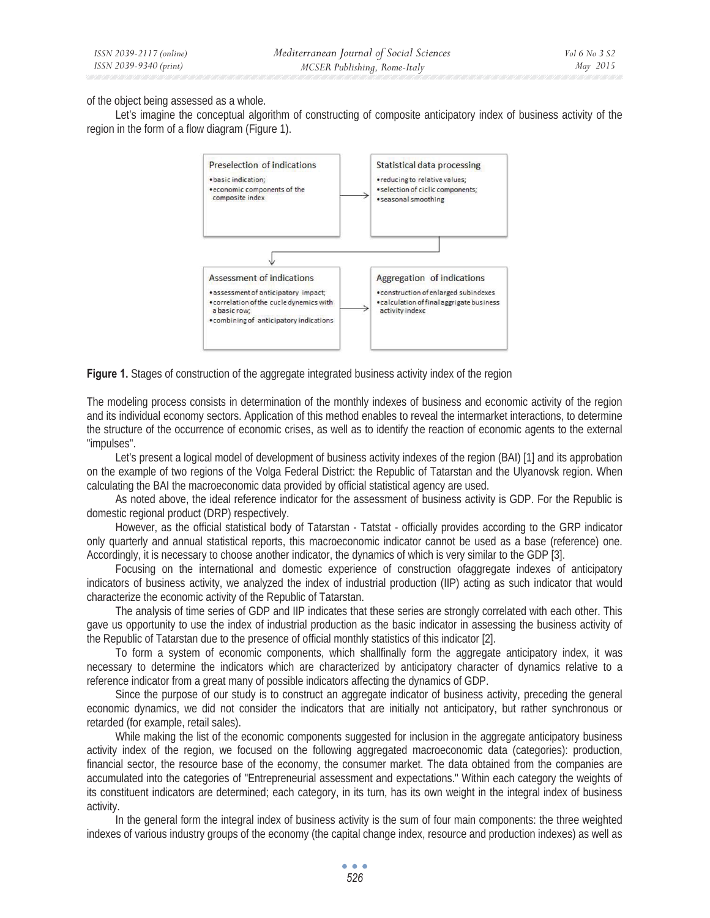of the object being assessed as a whole.

Let's imagine the conceptual algorithm of constructing of composite anticipatory index of business activity of the region in the form of a flow diagram (Figure 1).



**Figure 1.** Stages of construction of the aggregate integrated business activity index of the region

The modeling process consists in determination of the monthly indexes of business and economic activity of the region and its individual economy sectors. Application of this method enables to reveal the intermarket interactions, to determine the structure of the occurrence of economic crises, as well as to identify the reaction of economic agents to the external "impulses".

Let's present a logical model of development of business activity indexes of the region (BAI) [1] and its approbation on the example of two regions of the Volga Federal District: the Republic of Tatarstan and the Ulyanovsk region. When calculating the BAI the macroeconomic data provided by official statistical agency are used.

As noted above, the ideal reference indicator for the assessment of business activity is GDP. For the Republic is domestic regional product (DRP) respectively.

However, as the official statistical body of Tatarstan - Tatstat - officially provides according to the GRP indicator only quarterly and annual statistical reports, this macroeconomic indicator cannot be used as a base (reference) one. Accordingly, it is necessary to choose another indicator, the dynamics of which is very similar to the GDP [3].

Focusing on the international and domestic experience of construction ofaggregate indexes of anticipatory indicators of business activity, we analyzed the index of industrial production (IIP) acting as such indicator that would characterize the economic activity of the Republic of Tatarstan.

The analysis of time series of GDP and IIP indicates that these series are strongly correlated with each other. This gave us opportunity to use the index of industrial production as the basic indicator in assessing the business activity of the Republic of Tatarstan due to the presence of official monthly statistics of this indicator [2].

To form a system of economic components, which shallfinally form the aggregate anticipatory index, it was necessary to determine the indicators which are characterized by anticipatory character of dynamics relative to a reference indicator from a great many of possible indicators affecting the dynamics of GDP.

Since the purpose of our study is to construct an aggregate indicator of business activity, preceding the general economic dynamics, we did not consider the indicators that are initially not anticipatory, but rather synchronous or retarded (for example, retail sales).

While making the list of the economic components suggested for inclusion in the aggregate anticipatory business activity index of the region, we focused on the following aggregated macroeconomic data (categories): production, financial sector, the resource base of the economy, the consumer market. The data obtained from the companies are accumulated into the categories of "Entrepreneurial assessment and expectations." Within each category the weights of its constituent indicators are determined; each category, in its turn, has its own weight in the integral index of business activity.

In the general form the integral index of business activity is the sum of four main components: the three weighted indexes of various industry groups of the economy (the capital change index, resource and production indexes) as well as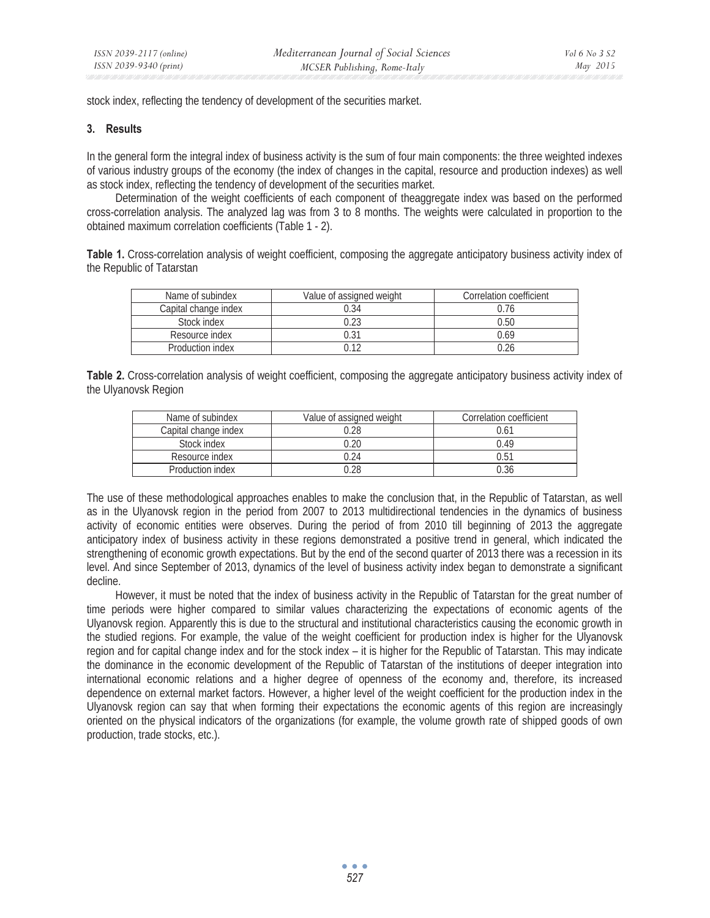stock index, reflecting the tendency of development of the securities market.

### **3. Results**

In the general form the integral index of business activity is the sum of four main components: the three weighted indexes of various industry groups of the economy (the index of changes in the capital, resource and production indexes) as well as stock index, reflecting the tendency of development of the securities market.

Determination of the weight coefficients of each component of theaggregate index was based on the performed cross-correlation analysis. The analyzed lag was from 3 to 8 months. The weights were calculated in proportion to the obtained maximum correlation coefficients (Table 1 - 2).

Table 1. Cross-correlation analysis of weight coefficient, composing the aggregate anticipatory business activity index of the Republic of Tatarstan

| Name of subindex     | Value of assigned weight | Correlation coefficient |
|----------------------|--------------------------|-------------------------|
| Capital change index | 0.34                     | 0.76                    |
| Stock index          | በ ን?                     | 0.50                    |
| Resource index       | 0.31                     | 0.69                    |
| Production index     |                          | 0.26                    |

| Table 2. Cross-correlation analysis of weight coefficient, composing the aggregate anticipatory business activity index of |  |  |  |  |  |
|----------------------------------------------------------------------------------------------------------------------------|--|--|--|--|--|
| the Ulyanovsk Region                                                                                                       |  |  |  |  |  |

| Name of subindex     | Value of assigned weight | Correlation coefficient |
|----------------------|--------------------------|-------------------------|
| Capital change index | በ 28                     | 0.61                    |
| Stock index          |                          | 0.49                    |
| Resource index       |                          | 0.51                    |
| Production index     |                          | ባ 36                    |

The use of these methodological approaches enables to make the conclusion that, in the Republic of Tatarstan, as well as in the Ulyanovsk region in the period from 2007 to 2013 multidirectional tendencies in the dynamics of business activity of economic entities were observes. During the period of from 2010 till beginning of 2013 the aggregate anticipatory index of business activity in these regions demonstrated a positive trend in general, which indicated the strengthening of economic growth expectations. But by the end of the second quarter of 2013 there was a recession in its level. And since September of 2013, dynamics of the level of business activity index began to demonstrate a significant decline.

However, it must be noted that the index of business activity in the Republic of Tatarstan for the great number of time periods were higher compared to similar values characterizing the expectations of economic agents of the Ulyanovsk region. Apparently this is due to the structural and institutional characteristics causing the economic growth in the studied regions. For example, the value of the weight coefficient for production index is higher for the Ulyanovsk region and for capital change index and for the stock index – it is higher for the Republic of Tatarstan. This may indicate the dominance in the economic development of the Republic of Tatarstan of the institutions of deeper integration into international economic relations and a higher degree of openness of the economy and, therefore, its increased dependence on external market factors. However, a higher level of the weight coefficient for the production index in the Ulyanovsk region can say that when forming their expectations the economic agents of this region are increasingly oriented on the physical indicators of the organizations (for example, the volume growth rate of shipped goods of own production, trade stocks, etc.).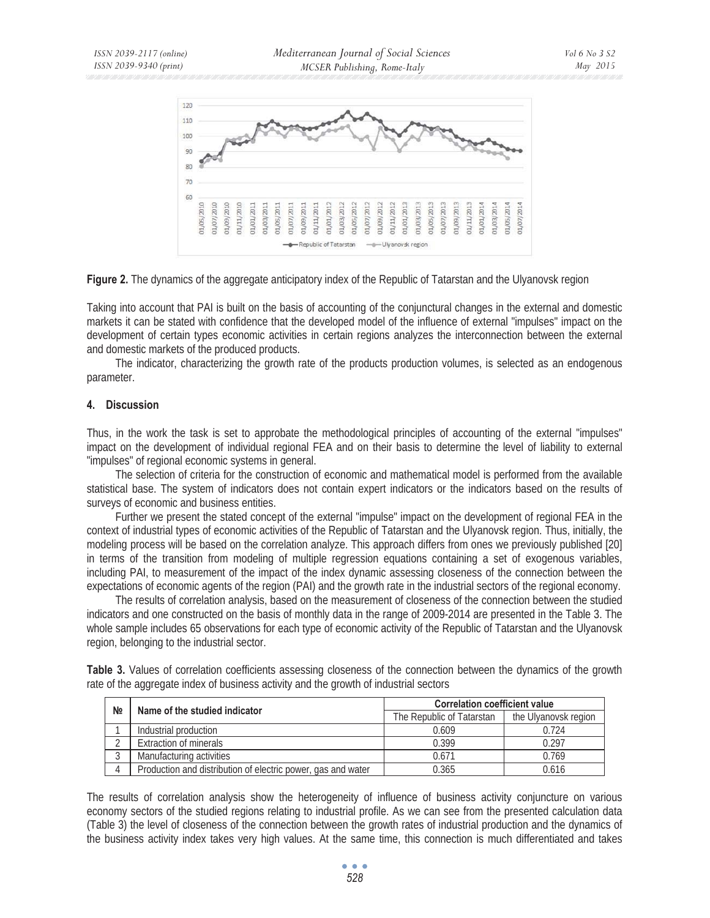

**Figure 2.** The dynamics of the aggregate anticipatory index of the Republic of Tatarstan and the Ulyanovsk region

Taking into account that PAI is built on the basis of accounting of the conjunctural changes in the external and domestic markets it can be stated with confidence that the developed model of the influence of external "impulses" impact on the development of certain types economic activities in certain regions analyzes the interconnection between the external and domestic markets of the produced products.

The indicator, characterizing the growth rate of the products production volumes, is selected as an endogenous parameter.

### **4. Discussion**

Thus, in the work the task is set to approbate the methodological principles of accounting of the external "impulses" impact on the development of individual regional FEA and on their basis to determine the level of liability to external "impulses" of regional economic systems in general.

The selection of criteria for the construction of economic and mathematical model is performed from the available statistical base. The system of indicators does not contain expert indicators or the indicators based on the results of surveys of economic and business entities.

Further we present the stated concept of the external "impulse" impact on the development of regional FEA in the context of industrial types of economic activities of the Republic of Tatarstan and the Ulyanovsk region. Thus, initially, the modeling process will be based on the correlation analyze. This approach differs from ones we previously published [20] in terms of the transition from modeling of multiple regression equations containing a set of exogenous variables, including PAI, to measurement of the impact of the index dynamic assessing closeness of the connection between the expectations of economic agents of the region (PAI) and the growth rate in the industrial sectors of the regional economy.

The results of correlation analysis, based on the measurement of closeness of the connection between the studied indicators and one constructed on the basis of monthly data in the range of 2009-2014 are presented in the Table 3. The whole sample includes 65 observations for each type of economic activity of the Republic of Tatarstan and the Ulyanovsk region, belonging to the industrial sector.

**Table 3.** Values of correlation coefficients assessing closeness of the connection between the dynamics of the growth rate of the aggregate index of business activity and the growth of industrial sectors

| N <sub>2</sub> | Name of the studied indicator                                | <b>Correlation coefficient value</b> |                      |  |
|----------------|--------------------------------------------------------------|--------------------------------------|----------------------|--|
|                |                                                              | The Republic of Tatarstan            | the Ulyanovsk region |  |
|                | Industrial production                                        | 0.609                                | በ 724                |  |
|                | <b>Extraction of minerals</b>                                | 0.399                                | 0.297                |  |
|                | Manufacturing activities                                     | 0.671                                | 0.769                |  |
|                | Production and distribution of electric power, gas and water | 0.365                                | 0.616                |  |

The results of correlation analysis show the heterogeneity of influence of business activity conjuncture on various economy sectors of the studied regions relating to industrial profile. As we can see from the presented calculation data (Table 3) the level of closeness of the connection between the growth rates of industrial production and the dynamics of the business activity index takes very high values. At the same time, this connection is much differentiated and takes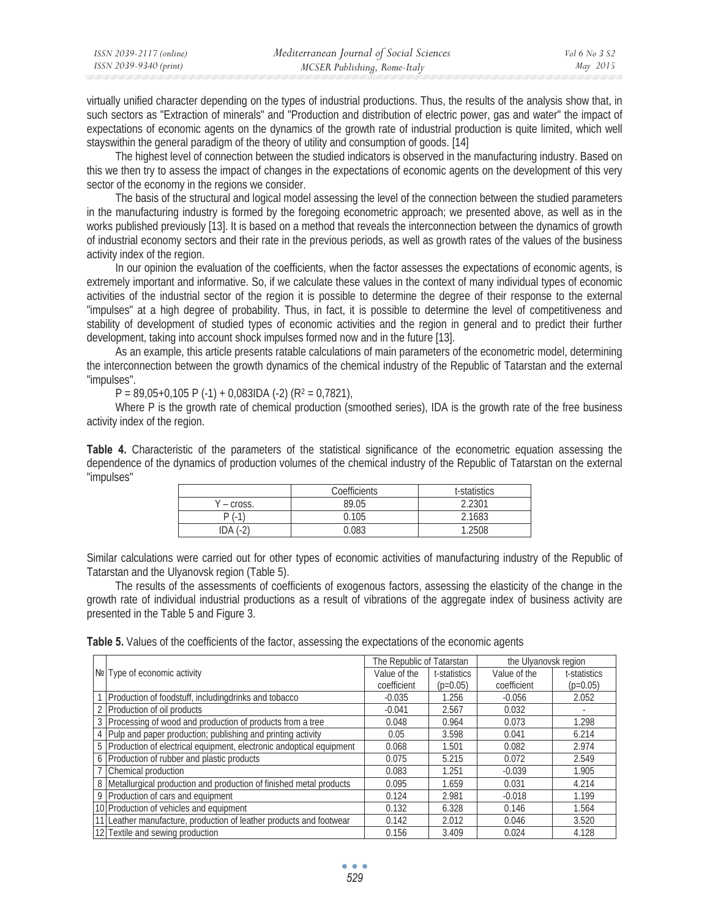| ISSN 2039-2117 (online) | Mediterranean Journal of Social Sciences | Vol 6 No 3 S2 |
|-------------------------|------------------------------------------|---------------|
| ISSN 2039-9340 (print)  | MCSER Publishing, Rome-Italy             | May 2015      |

virtually unified character depending on the types of industrial productions. Thus, the results of the analysis show that, in such sectors as "Extraction of minerals" and "Production and distribution of electric power, gas and water" the impact of expectations of economic agents on the dynamics of the growth rate of industrial production is quite limited, which well stayswithin the general paradigm of the theory of utility and consumption of goods. [14]

The highest level of connection between the studied indicators is observed in the manufacturing industry. Based on this we then try to assess the impact of changes in the expectations of economic agents on the development of this very sector of the economy in the regions we consider.

The basis of the structural and logical model assessing the level of the connection between the studied parameters in the manufacturing industry is formed by the foregoing econometric approach; we presented above, as well as in the works published previously [13]. It is based on a method that reveals the interconnection between the dynamics of growth of industrial economy sectors and their rate in the previous periods, as well as growth rates of the values of the business activity index of the region.

In our opinion the evaluation of the coefficients, when the factor assesses the expectations of economic agents, is extremely important and informative. So, if we calculate these values in the context of many individual types of economic activities of the industrial sector of the region it is possible to determine the degree of their response to the external "impulses" at a high degree of probability. Thus, in fact, it is possible to determine the level of competitiveness and stability of development of studied types of economic activities and the region in general and to predict their further development, taking into account shock impulses formed now and in the future [13].

As an example, this article presents ratable calculations of main parameters of the econometric model, determining the interconnection between the growth dynamics of the chemical industry of the Republic of Tatarstan and the external "impulses".

 $P = 89,05+0,105 P(-1) + 0,083$ IDA (-2) (R<sup>2</sup> = 0,7821),

Where P is the growth rate of chemical production (smoothed series), IDA is the growth rate of the free business activity index of the region.

**Table 4.** Characteristic of the parameters of the statistical significance of the econometric equation assessing the dependence of the dynamics of production volumes of the chemical industry of the Republic of Tatarstan on the external "impulses"

|                  | Coefficients | t-statistics |
|------------------|--------------|--------------|
| $-$ cross.       | 89.05        | 2.2301       |
| $P$ (<br>1       | 0.105        | 2.1683       |
| DA (-2)<br>$-2i$ | 0.083        | 1.2508       |

Similar calculations were carried out for other types of economic activities of manufacturing industry of the Republic of Tatarstan and the Ulyanovsk region (Table 5).

The results of the assessments of coefficients of exogenous factors, assessing the elasticity of the change in the growth rate of individual industrial productions as a result of vibrations of the aggregate index of business activity are presented in the Table 5 and Figure 3.

**Table 5.** Values of the coefficients of the factor, assessing the expectations of the economic agents

|                                                                       | The Republic of Tatarstan |              | the Ulyanovsk region |              |  |
|-----------------------------------------------------------------------|---------------------------|--------------|----------------------|--------------|--|
| $N2$ Type of economic activity                                        | Value of the              | t-statistics | Value of the         | t-statistics |  |
|                                                                       | coefficient               | $(p=0.05)$   | coefficient          | $(p=0.05)$   |  |
| Production of foodstuff, including drinks and tobacco                 | $-0.035$                  | 1.256        | $-0.056$             | 2.052        |  |
| 2 Production of oil products                                          | $-0.041$                  | 2.567        | 0.032                | ٠            |  |
| 3 Processing of wood and production of products from a tree           | 0.048                     | 0.964        | 0.073                | 1.298        |  |
| 4 Pulp and paper production; publishing and printing activity         | 0.05                      | 3.598        | 0.041                | 6.214        |  |
| 5 Production of electrical equipment, electronic andoptical equipment | 0.068                     | 1.501        | 0.082                | 2.974        |  |
| 6 Production of rubber and plastic products                           | 0.075                     | 5.215        | 0.072                | 2.549        |  |
| 7 Chemical production                                                 | 0.083                     | 1.251        | $-0.039$             | 1.905        |  |
| 8 Metallurgical production and production of finished metal products  | 0.095                     | 1.659        | 0.031                | 4.214        |  |
| 9 Production of cars and equipment                                    | 0.124                     | 2.981        | $-0.018$             | 1.199        |  |
| 10 Production of vehicles and equipment                               | 0.132                     | 6.328        | 0.146                | 1.564        |  |
| 11 Leather manufacture, production of leather products and footwear   | 0.142                     | 2.012        | 0.046                | 3.520        |  |
| 12 Textile and sewing production                                      | 0.156                     | 3.409        | 0.024                | 4.128        |  |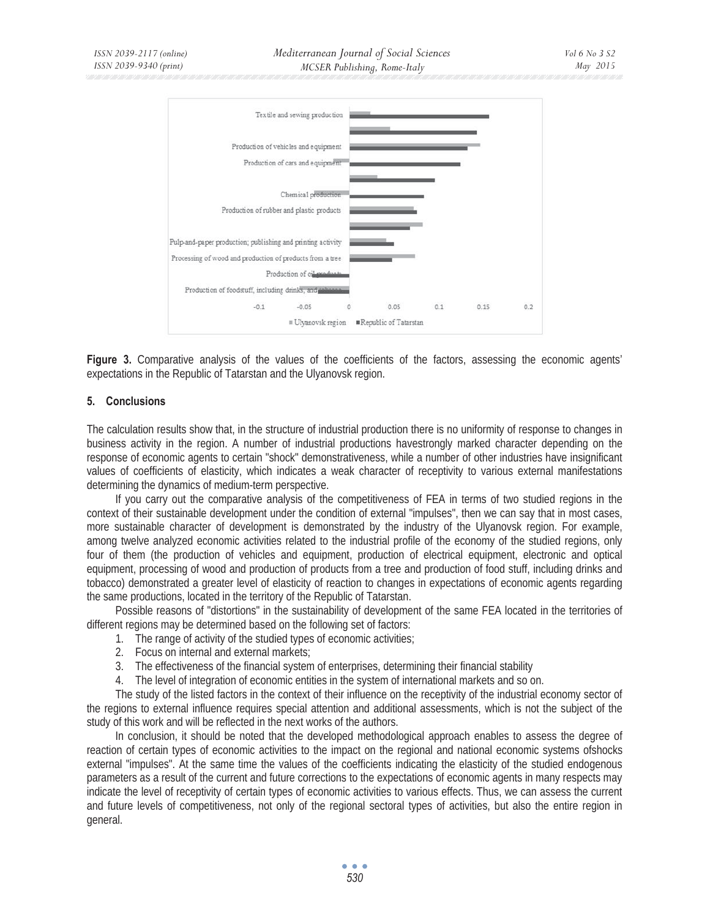

**Figure 3.** Comparative analysis of the values of the coefficients of the factors, assessing the economic agents' expectations in the Republic of Tatarstan and the Ulyanovsk region.

### **5. Conclusions**

The calculation results show that, in the structure of industrial production there is no uniformity of response to changes in business activity in the region. A number of industrial productions havestrongly marked character depending on the response of economic agents to certain "shock" demonstrativeness, while a number of other industries have insignificant values of coefficients of elasticity, which indicates a weak character of receptivity to various external manifestations determining the dynamics of medium-term perspective.

If you carry out the comparative analysis of the competitiveness of FEA in terms of two studied regions in the context of their sustainable development under the condition of external "impulses", then we can say that in most cases, more sustainable character of development is demonstrated by the industry of the Ulyanovsk region. For example, among twelve analyzed economic activities related to the industrial profile of the economy of the studied regions, only four of them (the production of vehicles and equipment, production of electrical equipment, electronic and optical equipment, processing of wood and production of products from a tree and production of food stuff, including drinks and tobacco) demonstrated a greater level of elasticity of reaction to changes in expectations of economic agents regarding the same productions, located in the territory of the Republic of Tatarstan.

Possible reasons of "distortions" in the sustainability of development of the same FEA located in the territories of different regions may be determined based on the following set of factors:

- 1. The range of activity of the studied types of economic activities;
- 2. Focus on internal and external markets;
- 3. The effectiveness of the financial system of enterprises, determining their financial stability
- 4. The level of integration of economic entities in the system of international markets and so on.

The study of the listed factors in the context of their influence on the receptivity of the industrial economy sector of the regions to external influence requires special attention and additional assessments, which is not the subject of the study of this work and will be reflected in the next works of the authors.

In conclusion, it should be noted that the developed methodological approach enables to assess the degree of reaction of certain types of economic activities to the impact on the regional and national economic systems ofshocks external "impulses". At the same time the values of the coefficients indicating the elasticity of the studied endogenous parameters as a result of the current and future corrections to the expectations of economic agents in many respects may indicate the level of receptivity of certain types of economic activities to various effects. Thus, we can assess the current and future levels of competitiveness, not only of the regional sectoral types of activities, but also the entire region in general.